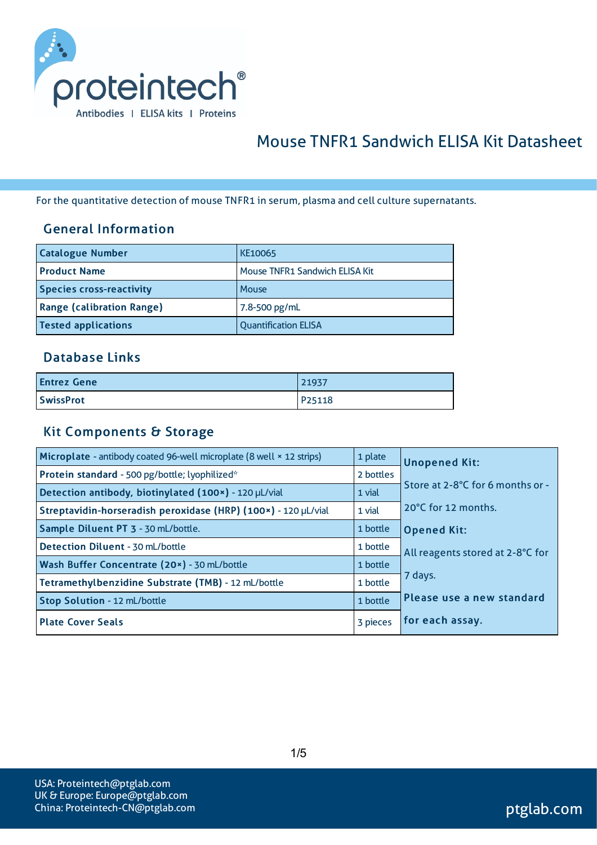

# Mouse TNFR1 Sandwich ELISA Kit Datasheet

For the quantitative detection of mouse TNFR1 in serum, plasma and cell culture supernatants.

#### General Information

| <b>Catalogue Number</b>          | KE10065                        |
|----------------------------------|--------------------------------|
| <b>Product Name</b>              | Mouse TNFR1 Sandwich ELISA Kit |
| <b>Species cross-reactivity</b>  | Mouse                          |
| <b>Range (calibration Range)</b> | 7.8-500 pg/mL                  |
| <b>Tested applications</b>       | <b>Quantification ELISA</b>    |

#### Database Links

| <b>Entrez Gene</b> | 21937  |
|--------------------|--------|
| <b>SwissProt</b>   | P25118 |

#### Kit Components & Storage

| Microplate - antibody coated 96-well microplate (8 well × 12 strips) | 1 plate   | <b>Unopened Kit:</b>             |
|----------------------------------------------------------------------|-----------|----------------------------------|
| Protein standard - 500 pg/bottle; lyophilized*                       | 2 bottles |                                  |
| Detection antibody, biotinylated (100x) - 120 µL/vial                | 1 vial    | Store at 2-8°C for 6 months or - |
| Streptavidin-horseradish peroxidase (HRP) (100x) - 120 µL/vial       | 1 vial    | 20°C for 12 months.              |
| Sample Diluent PT 3 - 30 mL/bottle.                                  | 1 bottle  | <b>Opened Kit:</b>               |
| Detection Diluent - 30 mL/bottle                                     | 1 bottle  | All reagents stored at 2-8°C for |
| Wash Buffer Concentrate (20x) - 30 mL/bottle                         | 1 bottle  |                                  |
| Tetramethylbenzidine Substrate (TMB) - 12 mL/bottle                  | 1 bottle  | 7 days.                          |
| Stop Solution - 12 mL/bottle                                         | 1 bottle  | Please use a new standard        |
| <b>Plate Cover Seals</b>                                             | 3 pieces  | for each assay.                  |

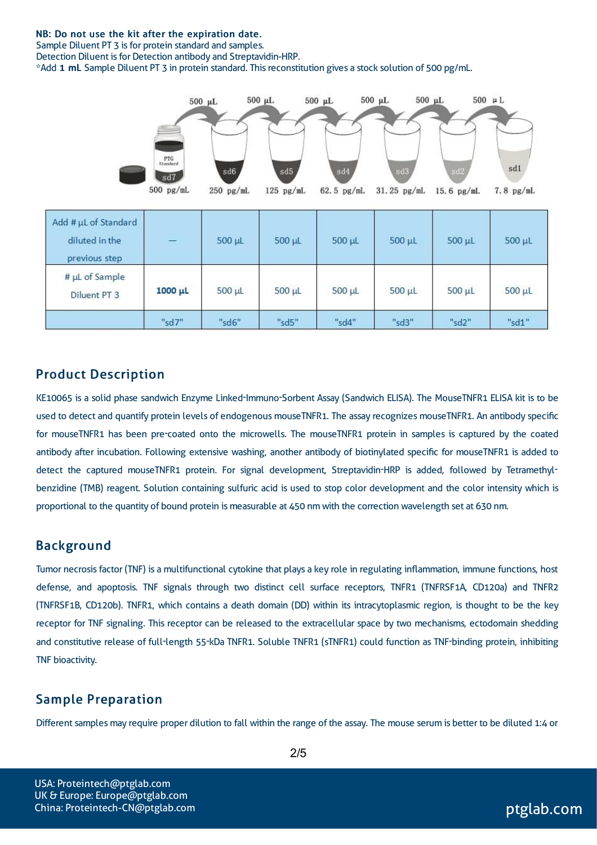#### NB: Do not use the kit after the expiration date.

Sample Diluent PT 3 is for protein standard and samples.

Detection Diluent is for Detection antibody and Streptavidin-HRP.

\*Add 1 mL Sample Diluent PT 3 in protein standard. Thisreconstitution gives a stock solution of 500 pg/mL.



#### Product Description

KE10065 is a solid phase sandwich Enzyme Linked-Immuno-Sorbent Assay (Sandwich ELISA). The MouseTNFR1 ELISA kit is to be used to detect and quantify protein levels of endogenous mouseTNFR1. The assay recognizes mouseTNFR1. An antibody specific for mouseTNFR1 has been pre-coated onto the microwells. The mouseTNFR1 protein in samples is captured by the coated antibody after incubation. Following extensive washing, another antibody of biotinylated specific for mouseTNFR1 is added to detect the captured mouseTNFR1 protein. For signal development, Streptavidin-HRP is added, followed by Tetramethylbenzidine (TMB) reagent. Solution containing sulfuric acid is used to stop color development and the color intensity which is proportional to the quantity of bound protein is measurable at 450 nm with the correction wavelength set at 630 nm.

#### Background

Tumor necrosisfactor (TNF) is a multifunctional cytokine that plays a key role in regulating inflammation, immune functions, host defense, and apoptosis. TNF signals through two distinct cell surface receptors, TNFR1 (TNFRSF1A, CD120a) and TNFR2 (TNFRSF1B, CD120b). TNFR1, which contains a death domain (DD) within its intracytoplasmic region, is thought to be the key receptor for TNF signaling. This receptor can be released to the extracellular space by two mechanisms, ectodomain shedding and constitutive release of full-length 55-kDa TNFR1. Soluble TNFR1 (sTNFR1) could function as TNF-binding protein, inhibiting TNF bioactivity.

#### Sample Preparation

Different samples may require proper dilution to fall within the range of the assay. The mouse serum is better to be diluted 1:4 or

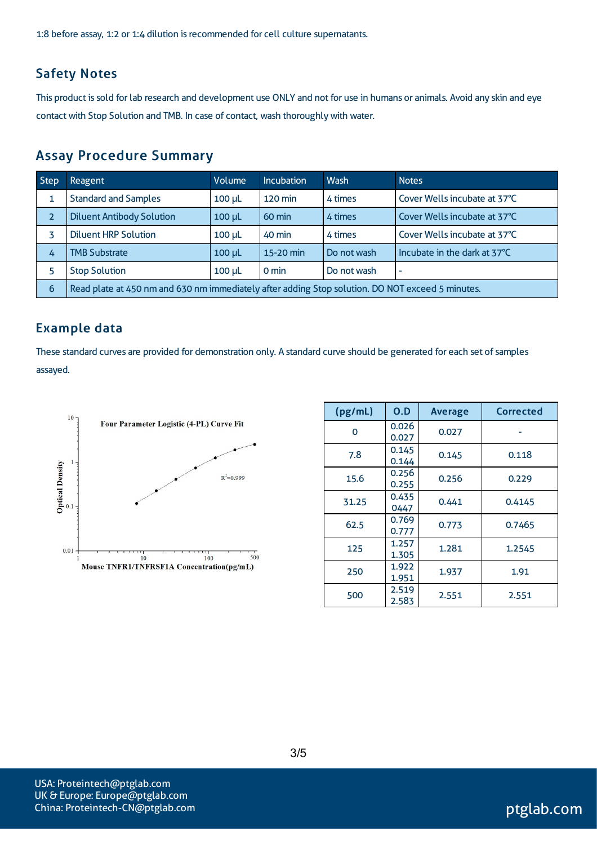1:8 before assay, 1:2 or 1:4 dilution is recommended for cell culture supernatants.

#### Safety Notes

This product is sold for lab research and development use ONLY and not for use in humans or animals. Avoid any skin and eye contact with Stop Solution and TMB. In case of contact, wash thoroughly with water.

#### Assay Procedure Summary

| <b>Step</b>    | <b>Reagent</b>                                                                                   | Volume      | <b>Incubation</b> | Wash        | <b>Notes</b>                 |  |
|----------------|--------------------------------------------------------------------------------------------------|-------------|-------------------|-------------|------------------------------|--|
|                | <b>Standard and Samples</b>                                                                      | $100 \mu L$ | 120 min           | 4 times     | Cover Wells incubate at 37°C |  |
| $\overline{2}$ | <b>Diluent Antibody Solution</b>                                                                 | $100 \mu L$ | 60 min            | 4 times     | Cover Wells incubate at 37°C |  |
|                | <b>Diluent HRP Solution</b>                                                                      | $100 \mu L$ | 40 min            | 4 times     | Cover Wells incubate at 37°C |  |
| 4              | <b>TMB Substrate</b>                                                                             | $100 \mu L$ | 15-20 min         | Do not wash | Incubate in the dark at 37°C |  |
| 5              | <b>Stop Solution</b>                                                                             | $100 \mu L$ | $0 \text{ min}$   | Do not wash | $\overline{\phantom{a}}$     |  |
| 6              | Read plate at 450 nm and 630 nm immediately after adding Stop solution. DO NOT exceed 5 minutes. |             |                   |             |                              |  |

### Example data

These standard curves are provided for demonstration only. A standard curve should be generated for each set of samples assayed.



| (pg/mL) | O.D            | <b>Average</b> | Corrected |
|---------|----------------|----------------|-----------|
| 0       | 0.026<br>0.027 | 0.027          |           |
| 7.8     | 0.145<br>0.144 | 0.145          | 0.118     |
| 15.6    | 0.256<br>0.255 | 0.256          | 0.229     |
| 31.25   | 0.435<br>0447  | 0.441          | 0.4145    |
| 62.5    | 0.769<br>0.777 | 0.773          | 0.7465    |
| 125     | 1.257<br>1.305 | 1.281          | 1.2545    |
| 250     | 1.922<br>1.951 | 1.937          | 1.91      |
| 500     | 2.519<br>2.583 | 2.551          | 2.551     |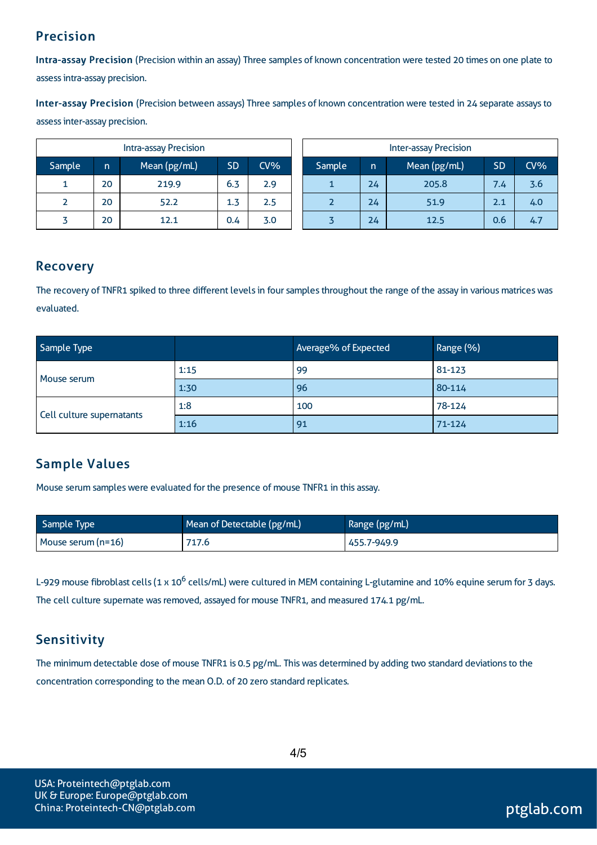### Precision

Intra-assay Precision (Precision within an assay) Three samples of known concentration were tested 20 times on one plate to assessintra-assay precision.

Inter-assay Precision (Precision between assays) Three samples of known concentration were tested in 24 separate assaysto assessinter-assay precision.

| <b>Intra-assay Precision</b> |    |              |           | <b>Inter-assay Precision</b> |  |        |     |              |           |     |
|------------------------------|----|--------------|-----------|------------------------------|--|--------|-----|--------------|-----------|-----|
| Sample                       | n  | Mean (pg/mL) | <b>SD</b> | CV <sub>6</sub>              |  | Sample | In. | Mean (pg/mL) | <b>SD</b> | CV% |
|                              | 20 | 219.9        | 6.3       | 2.9                          |  |        | 24  | 205.8        | 7.4       | 3.6 |
| 2                            | 20 | 52.2         | 1.3       | 2.5                          |  |        | 24  | 51.9         | 2.1       | 4.0 |
|                              | 20 | 12.1         | 0.4       | 3.0                          |  |        | 24  | 12.5         | 0.6       | 4.7 |

### Recovery

The recovery of TNFR1 spiked to three different levels in four samples throughout the range of the assay in various matrices was evaluated.

| Sample Type               |      | Average% of Expected | Range (%)  |  |
|---------------------------|------|----------------------|------------|--|
|                           | 1:15 | 99                   | 81-123     |  |
| Mouse serum               | 1:30 | 96                   | 80-114     |  |
| Cell culture supernatants | 1:8  | 100                  | 78-124     |  |
|                           | 1:16 | 91                   | $71 - 124$ |  |

### Sample Values

Mouse serum samples were evaluated for the presence of mouse TNFR1 in this assay.

| Sample Type        | Mean of Detectable (pg/mL) | Range (pg/mL) |
|--------------------|----------------------------|---------------|
| Mouse serum (n=16) | 717.6                      | 455.7-949.9   |

L-929 mouse fibroblast cells (1 x 10<sup>6</sup> cells/mL) were cultured in MEM containing L-glutamine and 10% equine serum for 3 days. The cell culture supernate was removed, assayed for mouse TNFR1, and measured 174.1 pg/mL.

### **Sensitivity**

The minimum detectable dose of mouse TNFR1 is 0.5 pg/mL. This was determined by adding two standard deviations to the concentration corresponding to the mean O.D. of 20 zero standard replicates.